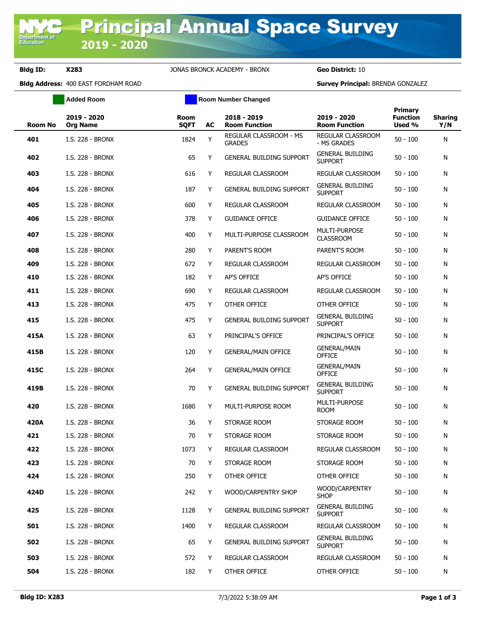Department of<br>Education

**Bldg ID: X283** JONAS BRONCK ACADEMY - BRONX **Geo District:** 10

**Bldg Address:** 400 EAST FORDHAM ROAD **Survey Principal:** BRENDA GONZALEZ

|                | <b>Added Room</b>              |                     | <b>Room Number Changed</b> |                                         |                                           |                                             |                       |
|----------------|--------------------------------|---------------------|----------------------------|-----------------------------------------|-------------------------------------------|---------------------------------------------|-----------------------|
| <b>Room No</b> | 2019 - 2020<br><b>Org Name</b> | Room<br><b>SQFT</b> | AC                         | 2018 - 2019<br><b>Room Function</b>     | 2019 - 2020<br><b>Room Function</b>       | <b>Primary</b><br><b>Function</b><br>Used % | <b>Sharing</b><br>Y/N |
| 401            | I.S. 228 - BRONX               | 1824                | Y                          | REGULAR CLASSROOM - MS<br><b>GRADES</b> | REGULAR CLASSROOM<br>- MS GRADES          | $50 - 100$                                  | N                     |
| 402            | I.S. 228 - BRONX               | 65                  | Y                          | <b>GENERAL BUILDING SUPPORT</b>         | <b>GENERAL BUILDING</b><br><b>SUPPORT</b> | $50 - 100$                                  | N                     |
| 403            | I.S. 228 - BRONX               | 616                 | Y                          | REGULAR CLASSROOM                       | REGULAR CLASSROOM                         | $50 - 100$                                  | N                     |
| 404            | <b>I.S. 228 - BRONX</b>        | 187                 | Y                          | <b>GENERAL BUILDING SUPPORT</b>         | <b>GENERAL BUILDING</b><br><b>SUPPORT</b> | 50 - 100                                    | N                     |
| 405            | I.S. 228 - BRONX               | 600                 | Y                          | REGULAR CLASSROOM                       | REGULAR CLASSROOM                         | $50 - 100$                                  | N                     |
| 406            | I.S. 228 - BRONX               | 378                 | Y                          | <b>GUIDANCE OFFICE</b>                  | <b>GUIDANCE OFFICE</b>                    | $50 - 100$                                  | N                     |
| 407            | I.S. 228 - BRONX               | 400                 | Y                          | MULTI-PURPOSE CLASSROOM                 | MULTI-PURPOSE<br><b>CLASSROOM</b>         | $50 - 100$                                  | N                     |
| 408            | I.S. 228 - BRONX               | 280                 | Y                          | PARENT'S ROOM                           | PARENT'S ROOM                             | $50 - 100$                                  | N                     |
| 409            | <b>I.S. 228 - BRONX</b>        | 672                 | Y                          | REGULAR CLASSROOM                       | <b>REGULAR CLASSROOM</b>                  | $50 - 100$                                  | N                     |
| 410            | I.S. 228 - BRONX               | 182                 | Y                          | AP'S OFFICE                             | AP'S OFFICE                               | $50 - 100$                                  | N                     |
| 411            | I.S. 228 - BRONX               | 690                 | Y                          | <b>REGULAR CLASSROOM</b>                | REGULAR CLASSROOM                         | $50 - 100$                                  | N                     |
| 413            | I.S. 228 - BRONX               | 475                 | Y                          | OTHER OFFICE                            | OTHER OFFICE                              | $50 - 100$                                  | N                     |
| 415            | I.S. 228 - BRONX               | 475                 | Y                          | <b>GENERAL BUILDING SUPPORT</b>         | <b>GENERAL BUILDING</b><br><b>SUPPORT</b> | 50 - 100                                    | N                     |
| 415A           | I.S. 228 - BRONX               | 63                  | Y                          | PRINCIPAL'S OFFICE                      | PRINCIPAL'S OFFICE                        | $50 - 100$                                  | Ν                     |
| 415B           | I.S. 228 - BRONX               | 120                 | Y                          | <b>GENERAL/MAIN OFFICE</b>              | <b>GENERAL/MAIN</b><br><b>OFFICE</b>      | $50 - 100$                                  | N                     |
| 415C           | I.S. 228 - BRONX               | 264                 | Y                          | <b>GENERAL/MAIN OFFICE</b>              | <b>GENERAL/MAIN</b><br><b>OFFICE</b>      | $50 - 100$                                  | N                     |
| 419B           | I.S. 228 - BRONX               | 70                  | Y                          | <b>GENERAL BUILDING SUPPORT</b>         | <b>GENERAL BUILDING</b><br><b>SUPPORT</b> | 50 - 100                                    | Ν                     |
| 420            | I.S. 228 - BRONX               | 1680                | Y                          | MULTI-PURPOSE ROOM                      | MULTI-PURPOSE<br><b>ROOM</b>              | $50 - 100$                                  | N                     |
| 420A           | I.S. 228 - BRONX               | 36                  | Y                          | STORAGE ROOM                            | STORAGE ROOM                              | $50 - 100$                                  | N                     |
| 421            | <b>I.S. 228 - BRONX</b>        | 70                  | Y                          | STORAGE ROOM                            | STORAGE ROOM                              | $50 - 100$                                  | Ν                     |
| 422            | I.S. 228 - BRONX               | 1073                | Y                          | REGULAR CLASSROOM                       | REGULAR CLASSROOM                         | $50 - 100$                                  | Ν                     |
| 423            | I.S. 228 - BRONX               | 70                  | Y                          | STORAGE ROOM                            | STORAGE ROOM                              | $50 - 100$                                  | Ν                     |
| 424            | I.S. 228 - BRONX               | 250                 | Y.                         | OTHER OFFICE                            | OTHER OFFICE                              | $50 - 100$                                  | N                     |
| 424D           | I.S. 228 - BRONX               | 242                 | Y                          | WOOD/CARPENTRY SHOP                     | WOOD/CARPENTRY<br><b>SHOP</b>             | $50 - 100$                                  | Ν                     |
| 425            | I.S. 228 - BRONX               | 1128                | Y.                         | <b>GENERAL BUILDING SUPPORT</b>         | <b>GENERAL BUILDING</b><br><b>SUPPORT</b> | $50 - 100$                                  | N                     |
| 501            | I.S. 228 - BRONX               | 1400                | Y                          | REGULAR CLASSROOM                       | REGULAR CLASSROOM                         | $50 - 100$                                  | N                     |
| 502            | I.S. 228 - BRONX               | 65                  | Y                          | <b>GENERAL BUILDING SUPPORT</b>         | <b>GENERAL BUILDING</b><br><b>SUPPORT</b> | $50 - 100$                                  | N                     |
| 503            | I.S. 228 - BRONX               | 572                 | Y                          | REGULAR CLASSROOM                       | REGULAR CLASSROOM                         | $50 - 100$                                  | N                     |
| 504            | I.S. 228 - BRONX               | 182                 | Y.                         | OTHER OFFICE                            | OTHER OFFICE                              | $50 - 100$                                  | N                     |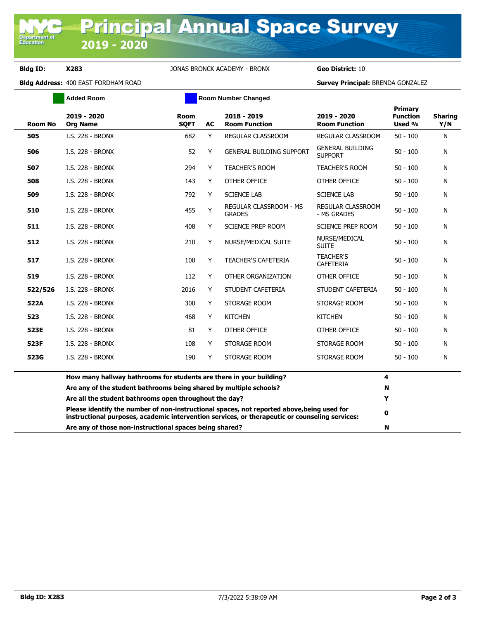**Department o**<br>Education

**Bldg ID: X283** JONAS BRONCK ACADEMY - BRONX **Geo District:** 10

**Bldg Address:** 400 EAST FORDHAM ROAD **Survey Principal:** BRENDA GONZALEZ

|                | <b>Added Room</b>                                                   | <b>Room Number Changed</b> |           |                                                                                                                                                                                              |                                           |                                      |                       |
|----------------|---------------------------------------------------------------------|----------------------------|-----------|----------------------------------------------------------------------------------------------------------------------------------------------------------------------------------------------|-------------------------------------------|--------------------------------------|-----------------------|
| <b>Room No</b> | 2019 - 2020<br><b>Org Name</b>                                      | <b>Room</b><br><b>SQFT</b> | <b>AC</b> | 2018 - 2019<br><b>Room Function</b>                                                                                                                                                          | 2019 - 2020<br><b>Room Function</b>       | Primary<br><b>Function</b><br>Used % | <b>Sharing</b><br>Y/N |
| 505            | I.S. 228 - BRONX                                                    | 682                        | Y         | REGULAR CLASSROOM                                                                                                                                                                            | REGULAR CLASSROOM                         | $50 - 100$                           | N                     |
| 506            | I.S. 228 - BRONX                                                    | 52                         | Y         | <b>GENERAL BUILDING SUPPORT</b>                                                                                                                                                              | <b>GENERAL BUILDING</b><br><b>SUPPORT</b> | $50 - 100$                           | N                     |
| 507            | I.S. 228 - BRONX                                                    | 294                        | Y         | <b>TEACHER'S ROOM</b>                                                                                                                                                                        | <b>TEACHER'S ROOM</b>                     | $50 - 100$                           | N                     |
| 508            | I.S. 228 - BRONX                                                    | 143                        | Y         | OTHER OFFICE                                                                                                                                                                                 | OTHER OFFICE                              | $50 - 100$                           | N                     |
| 509            | <b>I.S. 228 - BRONX</b>                                             | 792                        | Y         | <b>SCIENCE LAB</b>                                                                                                                                                                           | <b>SCIENCE LAB</b>                        | $50 - 100$                           | N                     |
| 510            | <b>I.S. 228 - BRONX</b>                                             | 455                        | Y         | REGULAR CLASSROOM - MS<br><b>GRADES</b>                                                                                                                                                      | REGULAR CLASSROOM<br>- MS GRADES          | $50 - 100$                           | N                     |
| 511            | <b>I.S. 228 - BRONX</b>                                             | 408                        | Y         | <b>SCIENCE PREP ROOM</b>                                                                                                                                                                     | <b>SCIENCE PREP ROOM</b>                  | $50 - 100$                           | N                     |
| 512            | <b>I.S. 228 - BRONX</b>                                             | 210                        | Y         | NURSE/MEDICAL SUITE                                                                                                                                                                          | NURSE/MEDICAL<br><b>SUITE</b>             | $50 - 100$                           | N                     |
| 517            | I.S. 228 - BRONX                                                    | 100                        | Y         | <b>TEACHER'S CAFETERIA</b>                                                                                                                                                                   | <b>TEACHER'S</b><br><b>CAFETERIA</b>      | $50 - 100$                           | N                     |
| 519            | I.S. 228 - BRONX                                                    | 112                        | Y         | OTHER ORGANIZATION                                                                                                                                                                           | OTHER OFFICE                              | $50 - 100$                           | N                     |
| 522/526        | I.S. 228 - BRONX                                                    | 2016                       | Y         | STUDENT CAFETERIA                                                                                                                                                                            | STUDENT CAFETERIA                         | $50 - 100$                           | N                     |
| 522A           | <b>I.S. 228 - BRONX</b>                                             | 300                        | Y         | STORAGE ROOM                                                                                                                                                                                 | STORAGE ROOM                              | $50 - 100$                           | N                     |
| 523            | I.S. 228 - BRONX                                                    | 468                        | Y         | <b>KITCHEN</b>                                                                                                                                                                               | <b>KITCHEN</b>                            | $50 - 100$                           | N                     |
| 523E           | <b>I.S. 228 - BRONX</b>                                             | 81                         | Y         | OTHER OFFICE                                                                                                                                                                                 | OTHER OFFICE                              | $50 - 100$                           | N                     |
| 523F           | <b>I.S. 228 - BRONX</b>                                             | 108                        | Y         | STORAGE ROOM                                                                                                                                                                                 | STORAGE ROOM                              | $50 - 100$                           | N                     |
| 523G           | <b>I.S. 228 - BRONX</b>                                             | 190                        | Y         | STORAGE ROOM                                                                                                                                                                                 | STORAGE ROOM                              | $50 - 100$                           | N                     |
|                | How many hallway bathrooms for students are there in your building? |                            |           |                                                                                                                                                                                              |                                           | 4                                    |                       |
|                | Are any of the student bathrooms being shared by multiple schools?  |                            | N         |                                                                                                                                                                                              |                                           |                                      |                       |
|                | Are all the student bathrooms open throughout the day?              |                            |           |                                                                                                                                                                                              |                                           | Y                                    |                       |
|                |                                                                     |                            |           | Please identify the number of non-instructional spaces, not reported above, being used for<br>instructional purposes, academic intervention services, or therapeutic or counseling services: |                                           | 0                                    |                       |
|                | Are any of those non-instructional spaces being shared?             |                            |           |                                                                                                                                                                                              |                                           | N                                    |                       |